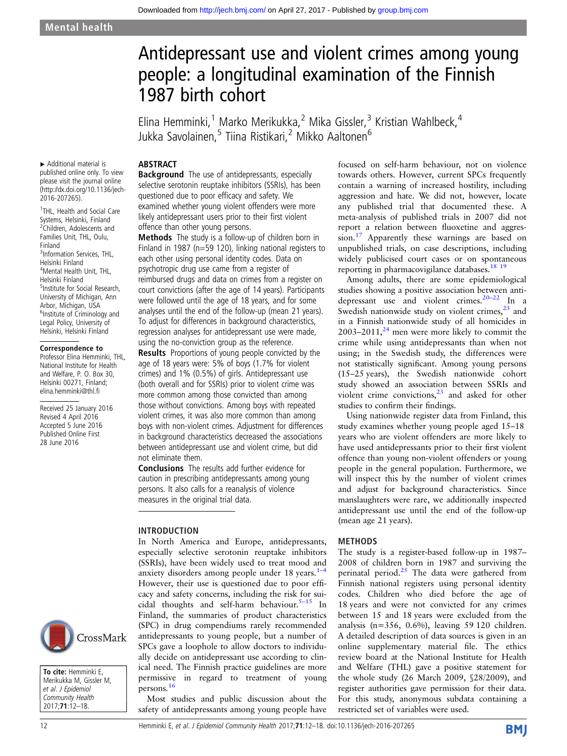# Antidepressant use and violent crimes among young people: a longitudinal examination of the Finnish 1987 birth cohort

Elina Hemminki,<sup>1</sup> Marko Merikukka,<sup>2</sup> Mika Gissler,<sup>3</sup> Kristian Wahlbeck,<sup>4</sup> Jukka Savolainen,<sup>5</sup> Tiina Ristikari,<sup>2</sup> Mikko Aaltonen<sup>6</sup>

#### ABSTRACT

▸ Additional material is published online only. To view please visit the journal online [\(http://dx.doi.org/10.1136/jech-](http://dx.doi.org/10.1136/jech-2016-207265)[2016-207265\)](http://dx.doi.org/10.1136/jech-2016-207265).

<sup>1</sup>THL, Health and Social Care Systems, Helsinki, Finland <sup>2</sup>Children, Adolescents and Families Unit, THL, Oulu, Finland <sup>3</sup>Information Services, THL, Helsinki Finland 4 Mental Health Unit, THL, Helsinki Finland 5 Institute for Social Research, University of Michigan, Ann Arbor, Michigan, USA <sup>6</sup>Institute of Criminology and Legal Policy, University of Helsinki, Helsinki Finland

#### Correspondence to

Professor Elina Hemminki, THL, National Institute for Health and Welfare, P. O. Box 30, Helsinki 00271, Finland; elina.hemminki@thl.fi

Received 25 January 2016 Revised 4 April 2016 Accepted 5 June 2016 Published Online First 28 June 2016



To cite: Hemminki E, Merikukka M, Gissler M, et al. J Epidemiol Community Health 2017;71:12–18.

Background The use of antidepressants, especially selective serotonin reuptake inhibitors (SSRIs), has been questioned due to poor efficacy and safety. We examined whether young violent offenders were more likely antidepressant users prior to their first violent offence than other young persons.

Methods The study is a follow-up of children born in Finland in 1987 (n=59 120), linking national registers to each other using personal identity codes. Data on psychotropic drug use came from a register of reimbursed drugs and data on crimes from a register on court convictions (after the age of 14 years). Participants were followed until the age of 18 years, and for some analyses until the end of the follow-up (mean 21 years). To adjust for differences in background characteristics, regression analyses for antidepressant use were made, using the no-conviction group as the reference.

Results Proportions of young people convicted by the age of 18 years were: 5% of boys (1.7% for violent crimes) and 1% (0.5%) of girls. Antidepressant use (both overall and for SSRIs) prior to violent crime was more common among those convicted than among those without convictions. Among boys with repeated violent crimes, it was also more common than among boys with non-violent crimes. Adjustment for differences in background characteristics decreased the associations between antidepressant use and violent crime, but did not eliminate them.

Conclusions The results add further evidence for caution in prescribing antidepressants among young persons. It also calls for a reanalysis of violence measures in the original trial data.

#### INTRODUCTION

In North America and Europe, antidepressants, especially selective serotonin reuptake inhibitors (SSRIs), have been widely used to treat mood and anxiety disorders among people under  $18$  $18$  years.<sup>1–4</sup> However, their use is questioned due to poor efficacy and safety concerns, including the risk for suicidal thoughts and self-harm behaviour. $5-15$  $5-15$  In Finland, the summaries of product characteristics (SPC) in drug compendiums rarely recommended antidepressants to young people, but a number of SPCs gave a loophole to allow doctors to individually decide on antidepressant use according to clinical need. The Finnish practice guidelines are more permissive in regard to treatment of young persons.[16](#page-6-0)

Most studies and public discussion about the safety of antidepressants among young people have focused on self-harm behaviour, not on violence towards others. However, current SPCs frequently contain a warning of increased hostility, including aggression and hate. We did not, however, locate any published trial that documented these. A meta-analysis of published trials in 2007 did not report a relation between fluoxetine and aggres-sion.<sup>[17](#page-6-0)</sup> Apparently these warnings are based on unpublished trials, on case descriptions, including widely publicised court cases or on spontaneous reporting in pharmacovigilance databases. $18\frac{19}{19}$ 

Among adults, there are some epidemiological studies showing a positive association between antidepressant use and violent crimes.[20](#page-6-0)–<sup>22</sup> In a Swedish nationwide study on violent crimes, $23$  and in a Finnish nationwide study of all homicides in 2003–2011, $^{24}$  $^{24}$  $^{24}$  men were more likely to commit the crime while using antidepressants than when not using; in the Swedish study, the differences were not statistically significant. Among young persons (15–25 years), the Swedish nationwide cohort study showed an association between SSRIs and violent crime convictions, $2^3$  and asked for other studies to confirm their findings.

Using nationwide register data from Finland, this study examines whether young people aged 15–18 years who are violent offenders are more likely to have used antidepressants prior to their first violent offence than young non-violent offenders or young people in the general population. Furthermore, we will inspect this by the number of violent crimes and adjust for background characteristics. Since manslaughters were rare, we additionally inspected antidepressant use until the end of the follow-up (mean age 21 years).

#### METHODS

The study is a register-based follow-up in 1987– 2008 of children born in 1987 and surviving the perinatal period. $25$  The data were gathered from Finnish national registers using personal identity codes. Children who died before the age of 18 years and were not convicted for any crimes between 15 and 18 years were excluded from the analysis (n=356, 0.6%), leaving 59 120 children. A detailed description of data sources is given in an online supplementary material file. The ethics review board at the National Institute for Health and Welfare (THL) gave a positive statement for the whole study (26 March 2009, §28/2009), and register authorities gave permission for their data. For this study, anonymous subdata containing a restricted set of variables were used.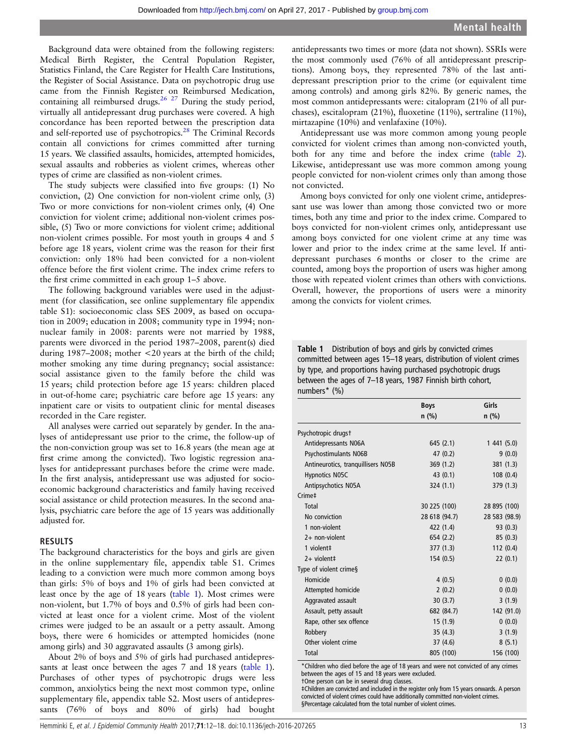<span id="page-1-0"></span>Background data were obtained from the following registers: Medical Birth Register, the Central Population Register, Statistics Finland, the Care Register for Health Care Institutions, the Register of Social Assistance. Data on psychotropic drug use came from the Finnish Register on Reimbursed Medication, containing all reimbursed drugs.<sup>[26 27](#page-6-0)</sup> During the study period, virtually all antidepressant drug purchases were covered. A high concordance has been reported between the prescription data and self-reported use of psychotropics.<sup>28</sup> The Criminal Records contain all convictions for crimes committed after turning 15 years. We classified assaults, homicides, attempted homicides, sexual assaults and robberies as violent crimes, whereas other types of crime are classified as non-violent crimes.

The study subjects were classified into five groups: (1) No conviction, (2) One conviction for non-violent crime only, (3) Two or more convictions for non-violent crimes only, (4) One conviction for violent crime; additional non-violent crimes possible, (5) Two or more convictions for violent crime; additional non-violent crimes possible. For most youth in groups 4 and 5 before age 18 years, violent crime was the reason for their first conviction: only 18% had been convicted for a non-violent offence before the first violent crime. The index crime refers to the first crime committed in each group 1–5 above.

The following background variables were used in the adjustment (for classification, see online supplementary file appendix table S1): socioeconomic class SES 2009, as based on occupation in 2009; education in 2008; community type in 1994; nonnuclear family in 2008: parents were not married by 1988, parents were divorced in the period 1987–2008, parent(s) died during 1987–2008; mother <20 years at the birth of the child; mother smoking any time during pregnancy; social assistance: social assistance given to the family before the child was 15 years; child protection before age 15 years: children placed in out-of-home care; psychiatric care before age 15 years: any inpatient care or visits to outpatient clinic for mental diseases recorded in the Care register.

All analyses were carried out separately by gender. In the analyses of antidepressant use prior to the crime, the follow-up of the non-conviction group was set to 16.8 years (the mean age at first crime among the convicted). Two logistic regression analyses for antidepressant purchases before the crime were made. In the first analysis, antidepressant use was adjusted for socioeconomic background characteristics and family having received social assistance or child protection measures. In the second analysis, psychiatric care before the age of 15 years was additionally adjusted for.

#### RESULTS

The background characteristics for the boys and girls are given in the online supplementary file, appendix table S1. Crimes leading to a conviction were much more common among boys than girls: 5% of boys and 1% of girls had been convicted at least once by the age of 18 years (table 1). Most crimes were non-violent, but 1.7% of boys and 0.5% of girls had been convicted at least once for a violent crime. Most of the violent crimes were judged to be an assault or a petty assault. Among boys, there were 6 homicides or attempted homicides (none among girls) and 30 aggravated assaults (3 among girls).

About 2% of boys and 5% of girls had purchased antidepressants at least once between the ages 7 and 18 years (table 1). Purchases of other types of psychotropic drugs were less common, anxiolytics being the next most common type, online supplementary file, appendix table S2. Most users of antidepressants (76% of boys and 80% of girls) had bought

antidepressants two times or more (data not shown). SSRIs were the most commonly used (76% of all antidepressant prescriptions). Among boys, they represented 78% of the last antidepressant prescription prior to the crime (or equivalent time among controls) and among girls 82%. By generic names, the most common antidepressants were: citalopram (21% of all purchases), escitalopram (21%), fluoxetine (11%), sertraline (11%), mirtazapine (10%) and venlafaxine (10%).

Antidepressant use was more common among young people convicted for violent crimes than among non-convicted youth, both for any time and before the index crime [\(table 2\)](#page-2-0). Likewise, antidepressant use was more common among young people convicted for non-violent crimes only than among those not convicted.

Among boys convicted for only one violent crime, antidepressant use was lower than among those convicted two or more times, both any time and prior to the index crime. Compared to boys convicted for non-violent crimes only, antidepressant use among boys convicted for one violent crime at any time was lower and prior to the index crime at the same level. If antidepressant purchases 6 months or closer to the crime are counted, among boys the proportion of users was higher among those with repeated violent crimes than others with convictions. Overall, however, the proportions of users were a minority among the convicts for violent crimes.

Table 1 Distribution of boys and girls by convicted crimes committed between ages 15–18 years, distribution of violent crimes by type, and proportions having purchased psychotropic drugs between the ages of 7–18 years, 1987 Finnish birth cohort, numbers\* (%)

|                                    | <b>Boys</b>   | Girls         |
|------------------------------------|---------------|---------------|
|                                    | n (%)         | $n$ (%)       |
| Psychotropic drugst                |               |               |
| Antidepressants N06A               | 645 (2.1)     | 1441(5.0)     |
| Psychostimulants N06B              | 47(0.2)       | 9(0.0)        |
| Antineurotics, tranquillisers N05B | 369(1.2)      | 381 (1.3)     |
| <b>Hypnotics N05C</b>              | 43(0.1)       | 108(0.4)      |
| Antipsychotics N05A                | 324 (1.1)     | 379 (1.3)     |
| Crime‡                             |               |               |
| Total                              | 30 225 (100)  | 28 895 (100)  |
| No conviction                      | 28 618 (94.7) | 28 583 (98.9) |
| 1 non-violent                      | 422 (1.4)     | 93 (0.3)      |
| 2+ non-violent                     | 654 (2.2)     | 85(0.3)       |
| 1 violent‡                         | 377(1.3)      | 112(0.4)      |
| $2+$ violent‡                      | 154 (0.5)     | 22(0.1)       |
| Type of violent crime§             |               |               |
| Homicide                           | 4(0.5)        | 0(0.0)        |
| Attempted homicide                 | 2(0.2)        | 0(0.0)        |
| Aggravated assault                 | 30(3.7)       | 3(1.9)        |
| Assault, petty assault             | 682 (84.7)    | 142 (91.0)    |
| Rape, other sex offence            | 15(1.9)       | 0(0.0)        |
| Robbery                            | 35(4.3)       | 3(1.9)        |
| Other violent crime                | 37(4.6)       | 8(5.1)        |
| Total                              | 805 (100)     | 156 (100)     |

\*Children who died before the age of 18 years and were not convicted of any crimes between the ages of 15 and 18 years were excluded.

†One person can be in several drug classes.

‡Children are convicted and included in the register only from 15 years onwards. A person convicted of violent crimes could have additionally committed non-violent crimes. §Percentage calculated from the total number of violent crimes.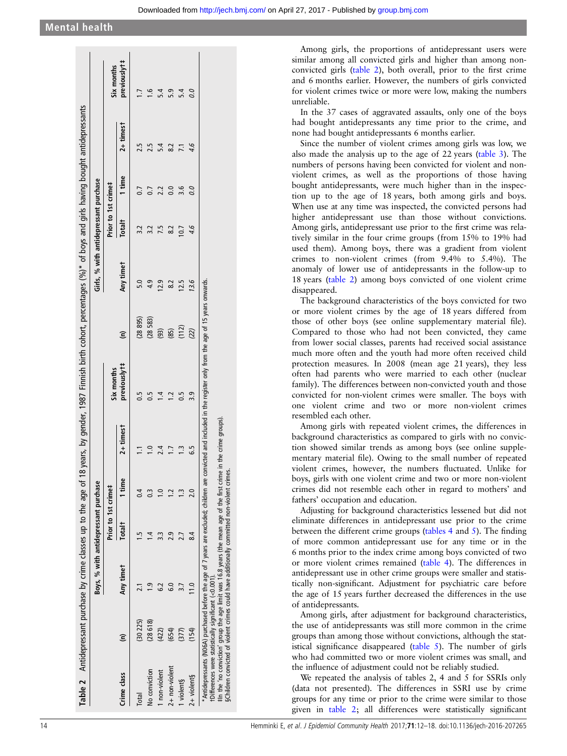<span id="page-2-0"></span>

| Six months<br>$2+$ timest<br>1 time<br>Prior to 1st crime‡<br>Total <sup>†</sup><br>$\overline{0}$<br>Any timet<br>2.9<br>2.5<br>13.6<br>(28895)<br>(28583)<br>(112)<br>(93)<br>(85)<br>Ξ<br>previouslyt#<br>Six months<br>3.9<br>$2+$ timest<br>65<br>1 time<br>Prior to 1st crime#<br>Total <sup>†</sup><br>ņ<br>2.9<br>4<br>Any timet<br>(30225)<br>(28618)<br>154)<br>(422)<br>(654)<br>$\widehat{\epsilon}$<br>$2+$ non-violent<br>No conviction<br>non-violent<br>Crime class<br>violent§ | *Antidepressants (N06A) purchased before the age of 7 years are excluded; children are convicted and included in the register only from the age of 15 years onwards.<br>Differences were statistically significant $(< 0.001$ ). |  | Boys, % with antidepressant purchase |  |  | Girls, % with antidepressant purchase |  |                         |
|-------------------------------------------------------------------------------------------------------------------------------------------------------------------------------------------------------------------------------------------------------------------------------------------------------------------------------------------------------------------------------------------------------------------------------------------------------------------------------------------------|----------------------------------------------------------------------------------------------------------------------------------------------------------------------------------------------------------------------------------|--|--------------------------------------|--|--|---------------------------------------|--|-------------------------|
| $2 +$ violents<br>Total                                                                                                                                                                                                                                                                                                                                                                                                                                                                         |                                                                                                                                                                                                                                  |  |                                      |  |  |                                       |  |                         |
|                                                                                                                                                                                                                                                                                                                                                                                                                                                                                                 |                                                                                                                                                                                                                                  |  |                                      |  |  |                                       |  | previously <sup>+</sup> |
|                                                                                                                                                                                                                                                                                                                                                                                                                                                                                                 |                                                                                                                                                                                                                                  |  |                                      |  |  |                                       |  |                         |
|                                                                                                                                                                                                                                                                                                                                                                                                                                                                                                 |                                                                                                                                                                                                                                  |  |                                      |  |  |                                       |  |                         |
|                                                                                                                                                                                                                                                                                                                                                                                                                                                                                                 |                                                                                                                                                                                                                                  |  |                                      |  |  |                                       |  |                         |
|                                                                                                                                                                                                                                                                                                                                                                                                                                                                                                 |                                                                                                                                                                                                                                  |  |                                      |  |  |                                       |  |                         |
|                                                                                                                                                                                                                                                                                                                                                                                                                                                                                                 |                                                                                                                                                                                                                                  |  |                                      |  |  |                                       |  |                         |
|                                                                                                                                                                                                                                                                                                                                                                                                                                                                                                 |                                                                                                                                                                                                                                  |  |                                      |  |  |                                       |  |                         |

Downloaded from<http://jech.bmj.com/>on April 27, 2017 - Published by [group.bmj.com](http://group.bmj.com)

Among girls, the proportions of antidepressant users were similar among all convicted girls and higher than among nonconvicted girls (table 2), both overall, prior to the first crime and 6 months earlier. However, the numbers of girls convicted for violent crimes twice or more were low, making the numbers unreliable.

In the 37 cases of aggravated assaults, only one of the boys had bought antidepressants any time prior to the crime, and none had bought antidepressants 6 months earlier.

Since the number of violent crimes among girls was low, we also made the analysis up to the age of 22 years ([table 3](#page-3-0)). The numbers of persons having been convicted for violent and nonviolent crimes, as well as the proportions of those having bought antidepressants, were much higher than in the inspection up to the age of 18 years, both among girls and boys. When use at any time was inspected, the convicted persons had higher antidepressant use than those without convictions. Among girls, antidepressant use prior to the first crime was relatively similar in the four crime groups (from 15% to 19% had used them). Among boys, there was a gradient from violent crimes to non-violent crimes (from 9.4% to 5.4%). The anomaly of lower use of antidepressants in the follow-up to 18 years (table 2) among boys convicted of one violent crime disappeared.

The background characteristics of the boys convicted for two or more violent crimes by the age of 18 years differed from those of other boys (see online supplementary material file). Compared to those who had not been convicted, they came from lower social classes, parents had received social assistance much more often and the youth had more often received child protection measures. In 2008 (mean age 21 years), they less often had parents who were married to each other (nuclear family). The differences between non-convicted youth and those convicted for non-violent crimes were smaller. The boys with one violent crime and two or more non-violent crimes resembled each other.

Among girls with repeated violent crimes, the differences in background characteristics as compared to girls with no conviction showed similar trends as among boys (see online supplementary material file). Owing to the small number of repeated violent crimes, however, the numbers fluctuated. Unlike for boys, girls with one violent crime and two or more non-violent crimes did not resemble each other in regard to mothers' and fathers' occupation and education.

Adjusting for background characteristics lessened but did not eliminate differences in antidepressant use prior to the crime between the different crime groups ([tables 4](#page-4-0) and [5\)](#page-4-0). The finding of more common antidepressant use for any time or in the 6 months prior to the index crime among boys convicted of two or more violent crimes remained ([table 4\)](#page-4-0). The differences in antidepressant use in other crime groups were smaller and statistically non-significant. Adjustment for psychiatric care before the age of 15 years further decreased the differences in the use of antidepressants.

Among girls, after adjustment for background characteristics, the use of antidepressants was still more common in the crime groups than among those without convictions, although the statistical significance disappeared (table  $\overline{5}$ ). The number of girls who had committed two or more violent crimes was small, and the influence of adjustment could not be reliably studied.

We repeated the analysis of tables 2, 4 and 5 for SSRIs only (data not presented). The differences in SSRI use by crime groups for any time or prior to the crime were similar to those given in table 2; all differences were statistically significant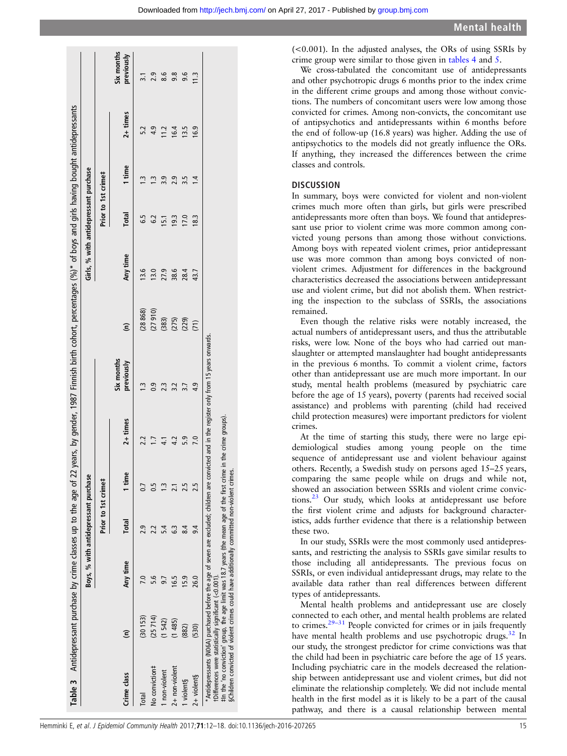<span id="page-3-0"></span>

|                    | Table 3 Antidepressant purchase by crime classes up to the age of 22 years, by gender, 1987 Finnish birth cohort, percentages (%)* of boys and girls having bought antidepressants                                                                                                                                                                                                                                              |                                      |                     |                |                |                          |         |          |                                       |        |            |                          |
|--------------------|---------------------------------------------------------------------------------------------------------------------------------------------------------------------------------------------------------------------------------------------------------------------------------------------------------------------------------------------------------------------------------------------------------------------------------|--------------------------------------|---------------------|----------------|----------------|--------------------------|---------|----------|---------------------------------------|--------|------------|--------------------------|
|                    |                                                                                                                                                                                                                                                                                                                                                                                                                                 | Boys, % with antidepressant purchase |                     |                |                |                          |         |          | Girls, % with antidepressant purchase |        |            |                          |
|                    |                                                                                                                                                                                                                                                                                                                                                                                                                                 |                                      | Prior to 1st crime# |                |                |                          |         |          | Prior to 1st crime‡                   |        |            |                          |
| Crime class        | Ξ                                                                                                                                                                                                                                                                                                                                                                                                                               | Any time                             | Total               | 1 time         | $2+$ times     | Six months<br>previously | Ξ       | Any time | <b>Total</b>                          | 1 time | $2+$ times | Six months<br>previously |
| <b>Total</b>       | (30153)                                                                                                                                                                                                                                                                                                                                                                                                                         |                                      |                     | $\overline{0}$ |                | $\ddot{ }$               | (28868) | 13.6     | 65                                    |        |            |                          |
| No conviction#     | (25714)                                                                                                                                                                                                                                                                                                                                                                                                                         | 5.6                                  | 22                  |                | $\overline{1}$ | $\frac{9}{2}$            | (27910) | 13.0     | 62                                    |        | 4.9        |                          |
| 1 non-violent      | (1542)                                                                                                                                                                                                                                                                                                                                                                                                                          |                                      | بر<br>د             |                | $\frac{1}{4}$  | <u>ິ</u>                 | (383)   | 27.9     | 51                                    |        | 11.2       |                          |
| $2 + non-velocity$ | (1485)                                                                                                                                                                                                                                                                                                                                                                                                                          | 16.5                                 | 3                   |                |                |                          | (275)   | 38.6     | 93                                    | 2.9    | 16.4       | 9.8                      |
| I violent§         | (882)                                                                                                                                                                                                                                                                                                                                                                                                                           | 15.9                                 | 8.4                 | 2.5            | 5.9            |                          | (229)   | 28.4     | 17.0                                  |        | 13.5       |                          |
| $2 +$ violent§     | (530)                                                                                                                                                                                                                                                                                                                                                                                                                           | 26.0                                 | 9.4                 |                |                | 4.9                      | (71)    | 43.7     | 18.3                                  |        | 16.9       |                          |
|                    | *Antidepressants (N06A) purchased before the age of seven are excluded; children are convicted and in the register only from 15 years onwards.<br>‡In the 'no conviction' group, the age limit was 18.7 years (the mean age of the first crime in the crime groups).<br>SChildren convicted of violent crimes could have additionally committed non-violent crimes.<br>FDifferences were statistically significant $(<0.001$ ). |                                      |                     |                |                |                          |         |          |                                       |        |            |                          |

(<0.001). In the adjusted analyses, the ORs of using SSRIs by crime group were similar to those given in [tables 4](#page-4-0) and [5.](#page-4-0)

We cross-tabulated the concomitant use of antidepressants and other psychotropic drugs 6 months prior to the index crime in the different crime groups and among those without convictions. The numbers of concomitant users were low among those convicted for crimes. Among non-convicts, the concomitant use of antipsychotics and antidepressants within 6 months before the end of follow-up (16.8 years) was higher. Adding the use of antipsychotics to the models did not greatly influence the ORs. If anything, they increased the differences between the crime classes and controls.

# **DISCUSSION**

In summary, boys were convicted for violent and non-violent crimes much more often than girls, but girls were prescribed antidepressants more often than boys. We found that antidepressant use prior to violent crime was more common among convicted young persons than among those without convictions. Among boys with repeated violent crimes, prior antidepressant use was more common than among boys convicted of nonviolent crimes. Adjustment for differences in the background characteristics decreased the associations between antidepressant use and violent crime, but did not abolish them. When restricting the inspection to the subclass of SSRIs, the associations remained.

Even though the relative risks were notably increased, the actual numbers of antidepressant users, and thus the attributable risks, were low. None of the boys who had carried out manslaughter or attempted manslaughter had bought antidepressants in the previous 6 months. To commit a violent crime, factors other than antidepressant use are much more important. In our study, mental health problems (measured by psychiatric care before the age of 15 years), poverty (parents had received social assistance) and problems with parenting (child had received child protection measures) were important predictors for violent crimes.

At the time of starting this study, there were no large epidemiological studies among young people on the time sequence of antidepressant use and violent behaviour against others. Recently, a Swedish study on persons aged 15–25 years, comparing the same people while on drugs and while not, showed an association between SSRIs and violent crime convictions.[23](#page-6-0) Our study, which looks at antidepressant use before the first violent crime and adjusts for background characteristics, adds further evidence that there is a relationship between these two.

In our study, SSRIs were the most commonly used antidepressants, and restricting the analysis to SSRIs gave similar results to those including all antidepressants. The previous focus on SSRIs, or even individual antidepressant drugs, may relate to the available data rather than real differences between different types of antidepressants.

Mental health problems and antidepressant use are closely connected to each other, and mental health problems are related to crimes. $29-31$  $29-31$  People convicted for crimes or in jails frequently have mental health problems and use psychotropic drugs.<sup>[32](#page-6-0)</sup> In our study, the strongest predictor for crime convictions was that the child had been in psychiatric care before the age of 15 years. Including psychiatric care in the models decreased the relationship between antidepressant use and violent crimes, but did not eliminate the relationship completely. We did not include mental health in the first model as it is likely to be a part of the causal pathway, and there is a causal relationship between mental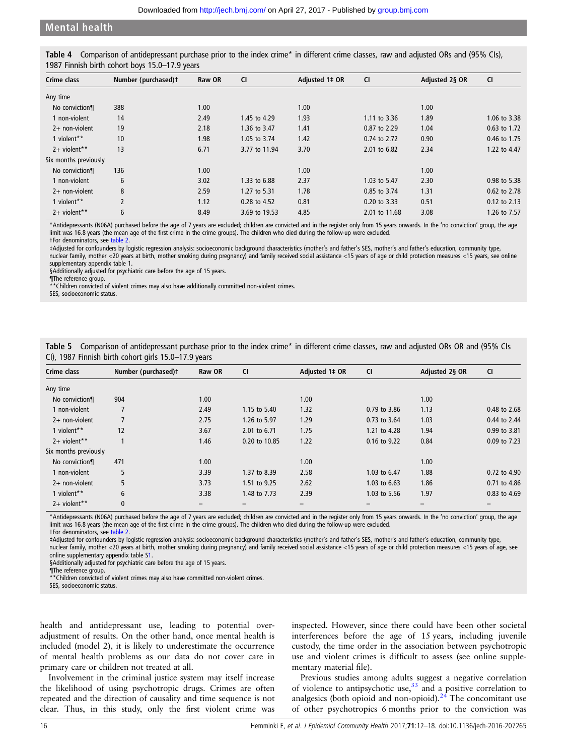<span id="page-4-0"></span>

|  | Table 4 Comparison of antidepressant purchase prior to the index crime* in different crime classes, raw and adjusted ORs and (95% CIs), |  |  |  |  |  |
|--|-----------------------------------------------------------------------------------------------------------------------------------------|--|--|--|--|--|
|  | 1987 Finnish birth cohort boys 15.0–17.9 years                                                                                          |  |  |  |  |  |

| Crime class           | Number (purchased)t | Raw OR | <b>CI</b>     | Adjusted 1‡ OR | <b>CI</b>     | Adjusted 2§ OR | <b>CI</b>    |
|-----------------------|---------------------|--------|---------------|----------------|---------------|----------------|--------------|
| Any time              |                     |        |               |                |               |                |              |
| No conviction¶        | 388                 | 1.00   |               | 1.00           |               | 1.00           |              |
| 1 non-violent         | 14                  | 2.49   | 1.45 to 4.29  | 1.93           | 1.11 to 3.36  | 1.89           | 1.06 to 3.38 |
| $2+$ non-violent      | 19                  | 2.18   | 1.36 to 3.47  | 1.41           | 0.87 to 2.29  | 1.04           | 0.63 to 1.72 |
| 1 violent**           | 10                  | 1.98   | 1.05 to 3.74  | 1.42           | 0.74 to 2.72  | 0.90           | 0.46 to 1.75 |
| 2+ violent**          | 13                  | 6.71   | 3.77 to 11.94 | 3.70           | 2.01 to 6.82  | 2.34           | 1.22 to 4.47 |
| Six months previously |                     |        |               |                |               |                |              |
| No conviction¶        | 136                 | 1.00   |               | 1.00           |               | 1.00           |              |
| 1 non-violent         | 6                   | 3.02   | 1.33 to 6.88  | 2.37           | 1.03 to 5.47  | 2.30           | 0.98 to 5.38 |
| $2+$ non-violent      | 8                   | 2.59   | 1.27 to 5.31  | 1.78           | 0.85 to 3.74  | 1.31           | 0.62 to 2.78 |
| 1 violent**           | $\overline{2}$      | 1.12   | 0.28 to 4.52  | 0.81           | 0.20 to 3.33  | 0.51           | 0.12 to 2.13 |
| $2+$ violent**        | 6                   | 8.49   | 3.69 to 19.53 | 4.85           | 2.01 to 11.68 | 3.08           | 1.26 to 7.57 |

\*Antidepressants (N06A) purchased before the age of 7 years are excluded; children are convicted and in the register only from 15 years onwards. In the 'no conviction' group, the age limit was 16.8 years (the mean age of the first crime in the crime groups). The children who died during the follow-up were excluded.

†For denominators, see [table 2](#page-2-0).

‡Adjusted for confounders by logistic regression analysis: socioeconomic background characteristics (mother's and father's SES, mother's and father's education, community type, nuclear family, mother <20 years at birth, mother smoking during pregnancy) and family received social assistance <15 years of age or child protection measures <15 years, see online supplementary appendix table 1.

§Additionally adjusted for psychiatric care before the age of 15 years.

¶The reference group. \*\*Children convicted of violent crimes may also have additionally committed non-violent crimes.

SES, socioeconomic status.

Table 5 Comparison of antidepressant purchase prior to the index crime\* in different crime classes, raw and adjusted ORs OR and (95% CIs CI), 1987 Finnish birth cohort girls 15.0–17.9 years

| <b>Crime class</b>    | Number (purchased)t | Raw OR | <b>CI</b>     | Adjusted 1‡ OR | <b>CI</b>    | Adjusted 2§ OR | <b>CI</b>    |
|-----------------------|---------------------|--------|---------------|----------------|--------------|----------------|--------------|
| Any time              |                     |        |               |                |              |                |              |
| No conviction¶        | 904                 | 1.00   |               | 1.00           |              | 1.00           |              |
| 1 non-violent         |                     | 2.49   | 1.15 to 5.40  | 1.32           | 0.79 to 3.86 | 1.13           | 0.48 to 2.68 |
| $2+$ non-violent      |                     | 2.75   | 1.26 to 5.97  | 1.29           | 0.73 to 3.64 | 1.03           | 0.44 to 2.44 |
| 1 violent**           | 12                  | 3.67   | 2.01 to 6.71  | 1.75           | 1.21 to 4.28 | 1.94           | 0.99 to 3.81 |
| $2+$ violent**        |                     | 1.46   | 0.20 to 10.85 | 1.22           | 0.16 to 9.22 | 0.84           | 0.09 to 7.23 |
| Six months previously |                     |        |               |                |              |                |              |
| No conviction¶        | 471                 | 1.00   |               | 1.00           |              | 1.00           |              |
| 1 non-violent         | 5                   | 3.39   | 1.37 to 8.39  | 2.58           | 1.03 to 6.47 | 1.88           | 0.72 to 4.90 |
| $2+$ non-violent      | 5                   | 3.73   | 1.51 to 9.25  | 2.62           | 1.03 to 6.63 | 1.86           | 0.71 to 4.86 |
| 1 violent**           | 6                   | 3.38   | 1.48 to 7.73  | 2.39           | 1.03 to 5.56 | 1.97           | 0.83 to 4.69 |
| $2+$ violent**        | 0                   |        |               |                |              |                |              |

\*Antidepressants (N06A) purchased before the age of 7 years are excluded; children are convicted and in the register only from 15 years onwards. In the 'no conviction' group, the age limit was 16.8 years (the mean age of the first crime in the crime groups). The children who died during the follow-up were excluded. †For denominators, see [table 2](#page-2-0).

‡Adjusted for confounders by logistic regression analysis: socioeconomic background characteristics (mother's and father's SES, mother's and father's education, community type, nuclear family, mother <20 years at birth, mother smoking during pregnancy) and family received social assistance <15 years of age or child protection measures <15 years of age, see online supplementary appendix table S[1](#page-1-0).

§Additionally adjusted for psychiatric care before the age of 15 years.

¶The reference group.

\*\*Children convicted of violent crimes may also have committed non-violent crimes.

SES, socioeconomic status.

health and antidepressant use, leading to potential overadjustment of results. On the other hand, once mental health is included (model 2), it is likely to underestimate the occurrence of mental health problems as our data do not cover care in primary care or children not treated at all.

Involvement in the criminal justice system may itself increase the likelihood of using psychotropic drugs. Crimes are often repeated and the direction of causality and time sequence is not clear. Thus, in this study, only the first violent crime was

inspected. However, since there could have been other societal interferences before the age of 15 years, including juvenile custody, the time order in the association between psychotropic use and violent crimes is difficult to assess (see online supplementary material file).

Previous studies among adults suggest a negative correlation of violence to antipsychotic use, $33$  and a positive correlation to analgesics (both opioid and non-opioid).<sup>[24](#page-6-0)</sup> The concomitant use of other psychotropics 6 months prior to the conviction was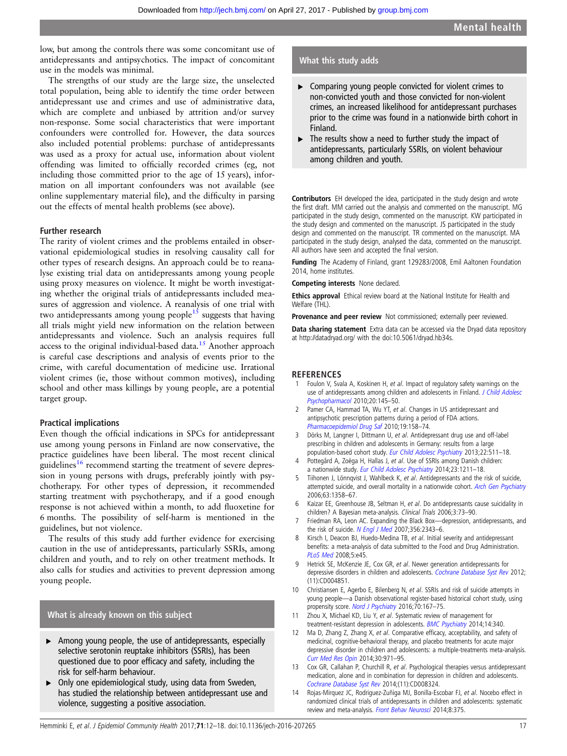<span id="page-5-0"></span>low, but among the controls there was some concomitant use of antidepressants and antipsychotics. The impact of concomitant use in the models was minimal.

The strengths of our study are the large size, the unselected total population, being able to identify the time order between antidepressant use and crimes and use of administrative data, which are complete and unbiased by attrition and/or survey non-response. Some social characteristics that were important confounders were controlled for. However, the data sources also included potential problems: purchase of antidepressants was used as a proxy for actual use, information about violent offending was limited to officially recorded crimes (eg, not including those committed prior to the age of 15 years), information on all important confounders was not available (see online supplementary material file), and the difficulty in parsing out the effects of mental health problems (see above).

#### Further research

The rarity of violent crimes and the problems entailed in observational epidemiological studies in resolving causality call for other types of research designs. An approach could be to reanalyse existing trial data on antidepressants among young people using proxy measures on violence. It might be worth investigating whether the original trials of antidepressants included measures of aggression and violence. A reanalysis of one trial with two antidepressants among young people<sup>[15](#page-6-0)</sup> suggests that having all trials might yield new information on the relation between antidepressants and violence. Such an analysis requires full access to the original individual-based data.<sup>[15](#page-6-0)</sup> Another approach is careful case descriptions and analysis of events prior to the crime, with careful documentation of medicine use. Irrational violent crimes (ie, those without common motives), including school and other mass killings by young people, are a potential target group.

#### Practical implications

Even though the official indications in SPCs for antidepressant use among young persons in Finland are now conservative, the practice guidelines have been liberal. The most recent clinical guidelines<sup>[16](#page-6-0)</sup> recommend starting the treatment of severe depression in young persons with drugs, preferably jointly with psychotherapy. For other types of depression, it recommended starting treatment with psychotherapy, and if a good enough response is not achieved within a month, to add fluoxetine for 6 months. The possibility of self-harm is mentioned in the guidelines, but not violence.

The results of this study add further evidence for exercising caution in the use of antidepressants, particularly SSRIs, among children and youth, and to rely on other treatment methods. It also calls for studies and activities to prevent depression among young people.

# What is already known on this subject

- ▸ Among young people, the use of antidepressants, especially selective serotonin reuptake inhibitors (SSRIs), has been questioned due to poor efficacy and safety, including the risk for self-harm behaviour.
- ▸ Only one epidemiological study, using data from Sweden, has studied the relationship between antidepressant use and violence, suggesting a positive association.

## What this study adds

- ▸ Comparing young people convicted for violent crimes to non-convicted youth and those convicted for non-violent crimes, an increased likelihood for antidepressant purchases prior to the crime was found in a nationwide birth cohort in Finland.
- The results show a need to further study the impact of antidepressants, particularly SSRIs, on violent behaviour among children and youth.

Contributors EH developed the idea, participated in the study design and wrote the first draft. MM carried out the analysis and commented on the manuscript. MG participated in the study design, commented on the manuscript. KW participated in the study design and commented on the manuscript. JS participated in the study design and commented on the manuscript. TR commented on the manuscript. MA participated in the study design, analysed the data, commented on the manuscript. All authors have seen and accepted the final version.

Funding The Academy of Finland, grant 129283/2008, Emil Aaltonen Foundation 2014, home institutes.

Competing interests None declared.

Ethics approval Ethical review board at the National Institute for Health and Welfare (THL).

Provenance and peer review Not commissioned; externally peer reviewed.

Data sharing statement Extra data can be accessed via the Dryad data repository at http://datadryad.org/ with the doi:10.5061/dryad.hb34s.

## **REFERENCES**

- Foulon V, Svala A, Koskinen H, et al. Impact of regulatory safety warnings on the use of antidepressants among children and adolescents in Finland. [J Child Adolesc](http://dx.doi.org/10.1089/cap.2009.0040) [Psychopharmacol](http://dx.doi.org/10.1089/cap.2009.0040) 2010;20:145–50.
- 2 Pamer CA, Hammad TA, Wu YT, et al. Changes in US antidepressant and antipsychotic prescription patterns during a period of FDA actions. [Pharmacoepidemiol Drug Saf](http://dx.doi.org/10.1002/pds.1886) 2010;19:158–74.
- 3 Dörks M, Langner I, Dittmann U, et al. Antidepressant drug use and off-label prescribing in children and adolescents in Germany: results from a large population-based cohort study. [Eur Child Adolesc Psychiatry](http://dx.doi.org/10.1007/s00787-013-0395-9) 2013;22:511-18.
- 4 Pottegård A, Zoëga H, Hallas J, et al. Use of SSRIs among Danish children: a nationwide study. [Eur Child Adolesc Psychiatry](http://dx.doi.org/10.1007/s00787-014-0523-1) 2014;23:1211–18.
- 5 Tiihonen J, Lönnqvist J, Wahlbeck K, et al. Antidepressants and the risk of suicide, attempted suicide, and overall mortality in a nationwide cohort. [Arch Gen Psychiatry](http://dx.doi.org/10.1001/archpsyc.63.12.1358) 2006;63:1358–67.
- 6 Kaizar EE, Greenhouse JB, Seltman H, et al. Do antidepressants cause suicidality in children? A Bayesian meta-analysis. Clinical Trials 2006;3:73–90.
- Friedman RA, Leon AC. Expanding the Black Box-depression, antidepressants, and the risk of suicide. [N Engl J Med](http://dx.doi.org/10.1056/NEJMp078015) 2007;356:2343-6.
- Kirsch I, Deacon BJ, Huedo-Medina TB, et al. Initial severity and antidepressant benefits: a meta-analysis of data submitted to the Food and Drug Administration. [PLoS Med](http://dx.doi.org/10.1371/journal.pmed.0050045) 2008;5:e45.
- 9 Hetrick SE, McKenzie JE, Cox GR, et al. Newer generation antidepressants for depressive disorders in children and adolescents. [Cochrane Database Syst Rev](http://dx.doi.org/10.1002/14651858.CD004851.pub3) 2012; (11):CD004851.
- 10 Christiansen E, Agerbo E, Bilenberg N, et al. SSRIs and risk of suicide attempts in young people—a Danish observational register-based historical cohort study, using propensity score. [Nord J Psychiatry](http://dx.doi.org/10.3109/08039488.2015.1065291) 2016;70:167-75.
- 11 Zhou X, Michael KD, Liu Y, et al. Systematic review of management for treatment-resistant depression in adolescents. [BMC Psychiatry](http://dx.doi.org/10.1186/s12888-014-0340-6) 2014;14:340.
- 12 Ma D, Zhang Z, Zhang X, et al. Comparative efficacy, acceptability, and safety of medicinal, cognitive-behavioral therapy, and placebo treatments for acute major depressive disorder in children and adolescents: a multiple-treatments meta-analysis. [Curr Med Res Opin](http://dx.doi.org/10.1185/03007995.2013.860020) 2014;30:971–95.
- 13 Cox GR, Callahan P, Churchill R, et al. Psychological therapies versus antidepressant medication, alone and in combination for depression in children and adolescents. [Cochrane Database Syst Rev](http://dx.doi.org/10.1002/14651858.CD008324.pub3) 2014;(11):CD008324.
- Rojas-Mirquez JC, Rodriguez-Zuñiga MJ, Bonilla-Escobar FJ, et al. Nocebo effect in randomized clinical trials of antidepressants in children and adolescents: systematic review and meta-analysis. [Front Behav Neurosci](http://dx.doi.org/10.3389/fnbeh.2014.00375) 2014;8:375.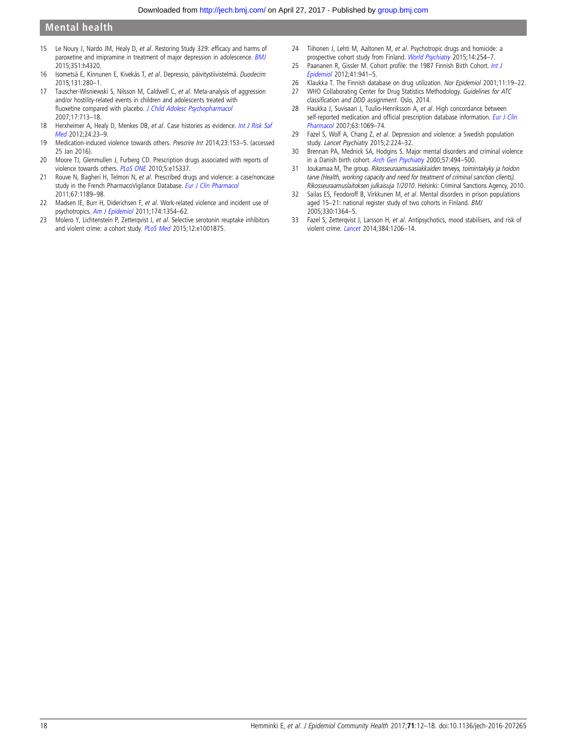# <span id="page-6-0"></span>Mental health

- 15 Le Noury J, Nardo JM, Healy D, et al. Restoring Study 329: efficacy and harms of paroxetine and imipramine in treatment of major depression in adolescence. [BMJ](http://dx.doi.org/10.1136/bmj.h4320) 2015;351:h4320.
- 16 Isometsä E, Kinnunen E, Kivekäs T, et al. Depressio, päivitystiivistelmä. Duodecim 2015;131:280–1.
- 17 Tauscher-Wisniewski S, Nilsson M, Caldwell C, et al. Meta-analysis of aggression and/or hostility-related events in children and adolescents treated with fluoxetine compared with placebo. [J Child Adolesc Psychopharmacol](http://dx.doi.org/10.1089/cap.2006.0138) 2007;17:713–18.
- 18 Herxheimer A, Healy D, Menkes DB, et al. Case histories as evidence. [Int J Risk Saf](http://dx.doi.org/10.3233/JRS-2012-0549) [Med](http://dx.doi.org/10.3233/JRS-2012-0549) 2012;24:23–9.
- 19 Medication-induced violence towards others. Prescrire Int 2014;23:153–5. (accessed 25 Jan 2016).
- 20 Moore TJ, Glenmullen J, Furberg CD. Prescription drugs associated with reports of violence towards others. [PLoS ONE](http://dx.doi.org/10.1371/journal.pone.0015337) 2010;5:e15337.
- 21 Rouve N, Bagheri H, Telmon N, et al. Prescribed drugs and violence: a case/noncase study in the French PharmacoVigilance Database. [Eur J Clin Pharmacol](http://dx.doi.org/10.1007/s00228-011-1067-7) 2011;67:1189–98.
- 22 Madsen IE, Burr H, Diderichsen F, et al. Work-related violence and incident use of psychotropics. [Am J Epidemiol](http://dx.doi.org/10.1093/aje/kwr259) 2011;174:1354–62.
- 23 Molero Y, Lichtenstein P, Zetterqvist J, et al. Selective serotonin reuptake inhibitors and violent crime: a cohort study. [PLoS Med](http://dx.doi.org/10.1371/journal.pmed.1001875) 2015;12:e1001875.
- 24 Tiihonen J, Lehti M, Aaltonen M, et al. Psychotropic drugs and homicide: a prospective cohort study from Finland. [World Psychiatry](http://dx.doi.org/10.1002/wps.20220) 2015;14:254-7.
- 25 Paananen R, Gissler M. Cohort profile: the 1987 Finnish Birth Cohort. [Int J](http://dx.doi.org/10.1093/ije/dyr035) [Epidemiol](http://dx.doi.org/10.1093/ije/dyr035) 2012;41:941–5.
- 26 Klaukka T. The Finnish database on drug utilization. Nor Epidemiol 2001;11:19–22.
- 27 WHO Collaborating Center for Drug Statistics Methodology. Guidelines for ATC classification and DDD assignment. Oslo, 2014.
- 28 Haukka J, Suvisaari J, Tuulio-Henriksson A, et al. High concordance between self-reported medication and official prescription database information. [Eur J Clin](http://dx.doi.org/10.1007/s00228-007-0349-6) [Pharmacol](http://dx.doi.org/10.1007/s00228-007-0349-6) 2007;63:1069–74.
- 29 Fazel S, Wolf A, Chang Z, et al. Depression and violence: a Swedish population study. Lancet Psychiatry 2015;2:224–32.
- 30 Brennan PA, Mednick SA, Hodgins S. Major mental disorders and criminal violence in a Danish birth cohort. [Arch Gen Psychiatry](http://dx.doi.org/10.1001/archpsyc.57.5.494) 2000;57:494-500.
- 31 Joukamaa M, The group. Rikosseuraamusasiakkaiden terveys, toimintakyky ja hoidon tarve (Health, working capacity and need for treatment of criminal sanction clients). Rikosseuraamuslaitoksen julkaisuja 1/2010. Helsinki: Criminal Sanctions Agency, 2010.
- 32 Sailas ES, Feodoroff B, Virkkunen M, et al. Mental disorders in prison populations aged 15-21: national register study of two cohorts in Finland. BMJ 2005;330:1364–5.
- 33 Fazel S, Zetterqvist J, Larsson H, et al. Antipsychotics, mood stabilisers, and risk of violent crime. [Lancet](http://dx.doi.org/10.1016/S0140-6736(14)60379-2) 2014;384:1206–14.